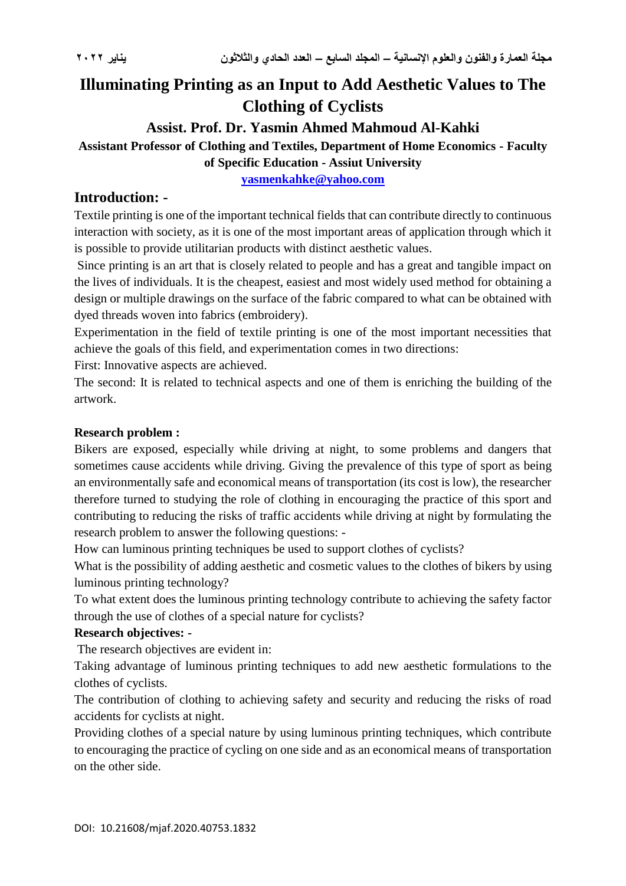# **Illuminating Printing as an Input to Add Aesthetic Values to The Clothing of Cyclists**

## **Assist. Prof. Dr. Yasmin Ahmed Mahmoud Al-Kahki**

## **Assistant Professor of Clothing and Textiles, Department of Home Economics - Faculty of Specific Education - Assiut University**

**[yasmenkahke@yahoo.com](mailto:yasmenkahke@yahoo.com)**

## **Introduction: -**

Textile printing is one of the important technical fields that can contribute directly to continuous interaction with society, as it is one of the most important areas of application through which it is possible to provide utilitarian products with distinct aesthetic values.

Since printing is an art that is closely related to people and has a great and tangible impact on the lives of individuals. It is the cheapest, easiest and most widely used method for obtaining a design or multiple drawings on the surface of the fabric compared to what can be obtained with dyed threads woven into fabrics (embroidery).

Experimentation in the field of textile printing is one of the most important necessities that achieve the goals of this field, and experimentation comes in two directions:

First: Innovative aspects are achieved.

The second: It is related to technical aspects and one of them is enriching the building of the artwork.

### **Research problem :**

Bikers are exposed, especially while driving at night, to some problems and dangers that sometimes cause accidents while driving. Giving the prevalence of this type of sport as being an environmentally safe and economical means of transportation (its cost is low), the researcher therefore turned to studying the role of clothing in encouraging the practice of this sport and contributing to reducing the risks of traffic accidents while driving at night by formulating the research problem to answer the following questions: -

How can luminous printing techniques be used to support clothes of cyclists?

What is the possibility of adding aesthetic and cosmetic values to the clothes of bikers by using luminous printing technology?

To what extent does the luminous printing technology contribute to achieving the safety factor through the use of clothes of a special nature for cyclists?

## **Research objectives: -**

The research objectives are evident in:

Taking advantage of luminous printing techniques to add new aesthetic formulations to the clothes of cyclists.

The contribution of clothing to achieving safety and security and reducing the risks of road accidents for cyclists at night.

Providing clothes of a special nature by using luminous printing techniques, which contribute to encouraging the practice of cycling on one side and as an economical means of transportation on the other side.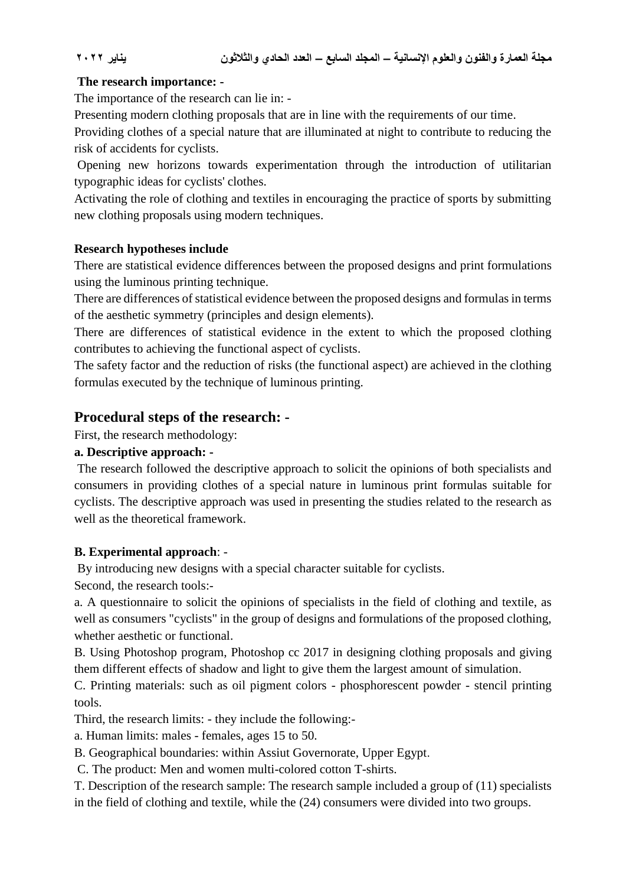### **The research importance: -**

The importance of the research can lie in: -

Presenting modern clothing proposals that are in line with the requirements of our time.

Providing clothes of a special nature that are illuminated at night to contribute to reducing the risk of accidents for cyclists.

Opening new horizons towards experimentation through the introduction of utilitarian typographic ideas for cyclists' clothes.

Activating the role of clothing and textiles in encouraging the practice of sports by submitting new clothing proposals using modern techniques.

### **Research hypotheses include**

There are statistical evidence differences between the proposed designs and print formulations using the luminous printing technique.

There are differences of statistical evidence between the proposed designs and formulas in terms of the aesthetic symmetry (principles and design elements).

There are differences of statistical evidence in the extent to which the proposed clothing contributes to achieving the functional aspect of cyclists.

The safety factor and the reduction of risks (the functional aspect) are achieved in the clothing formulas executed by the technique of luminous printing.

## **Procedural steps of the research: -**

First, the research methodology:

## **a. Descriptive approach: -**

The research followed the descriptive approach to solicit the opinions of both specialists and consumers in providing clothes of a special nature in luminous print formulas suitable for cyclists. The descriptive approach was used in presenting the studies related to the research as well as the theoretical framework.

### **B. Experimental approach**: -

By introducing new designs with a special character suitable for cyclists.

Second, the research tools:-

a. A questionnaire to solicit the opinions of specialists in the field of clothing and textile, as well as consumers "cyclists" in the group of designs and formulations of the proposed clothing, whether aesthetic or functional.

B. Using Photoshop program, Photoshop cc 2017 in designing clothing proposals and giving them different effects of shadow and light to give them the largest amount of simulation.

C. Printing materials: such as oil pigment colors - phosphorescent powder - stencil printing tools.

Third, the research limits: - they include the following:-

a. Human limits: males - females, ages 15 to 50.

B. Geographical boundaries: within Assiut Governorate, Upper Egypt.

C. The product: Men and women multi-colored cotton T-shirts.

T. Description of the research sample: The research sample included a group of (11) specialists in the field of clothing and textile, while the (24) consumers were divided into two groups.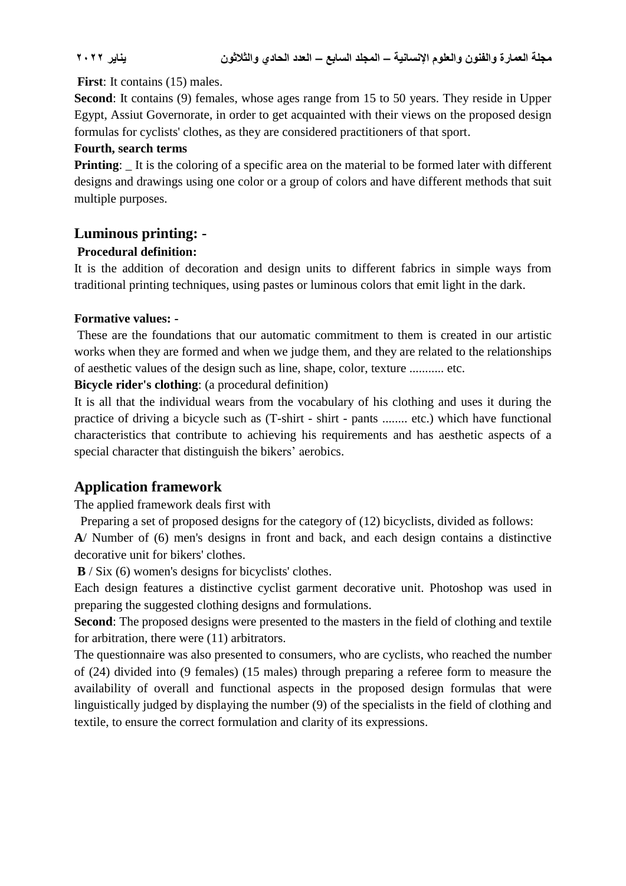#### **First**: It contains (15) males.

**Second:** It contains (9) females, whose ages range from 15 to 50 years. They reside in Upper Egypt, Assiut Governorate, in order to get acquainted with their views on the proposed design formulas for cyclists' clothes, as they are considered practitioners of that sport.

#### **Fourth, search terms**

**Printing**:  $\Box$  It is the coloring of a specific area on the material to be formed later with different designs and drawings using one color or a group of colors and have different methods that suit multiple purposes.

## **Luminous printing: -**

### **Procedural definition:**

It is the addition of decoration and design units to different fabrics in simple ways from traditional printing techniques, using pastes or luminous colors that emit light in the dark.

### **Formative values: -**

These are the foundations that our automatic commitment to them is created in our artistic works when they are formed and when we judge them, and they are related to the relationships of aesthetic values of the design such as line, shape, color, texture ........... etc.

#### **Bicycle rider's clothing**: (a procedural definition)

It is all that the individual wears from the vocabulary of his clothing and uses it during the practice of driving a bicycle such as (T-shirt - shirt - pants ........ etc.) which have functional characteristics that contribute to achieving his requirements and has aesthetic aspects of a special character that distinguish the bikers' aerobics.

## **Application framework**

The applied framework deals first with

Preparing a set of proposed designs for the category of (12) bicyclists, divided as follows:

**A**/ Number of (6) men's designs in front and back, and each design contains a distinctive decorative unit for bikers' clothes.

**B** / Six (6) women's designs for bicyclists' clothes.

Each design features a distinctive cyclist garment decorative unit. Photoshop was used in preparing the suggested clothing designs and formulations.

**Second**: The proposed designs were presented to the masters in the field of clothing and textile for arbitration, there were (11) arbitrators.

The questionnaire was also presented to consumers, who are cyclists, who reached the number of (24) divided into (9 females) (15 males) through preparing a referee form to measure the availability of overall and functional aspects in the proposed design formulas that were linguistically judged by displaying the number (9) of the specialists in the field of clothing and textile, to ensure the correct formulation and clarity of its expressions.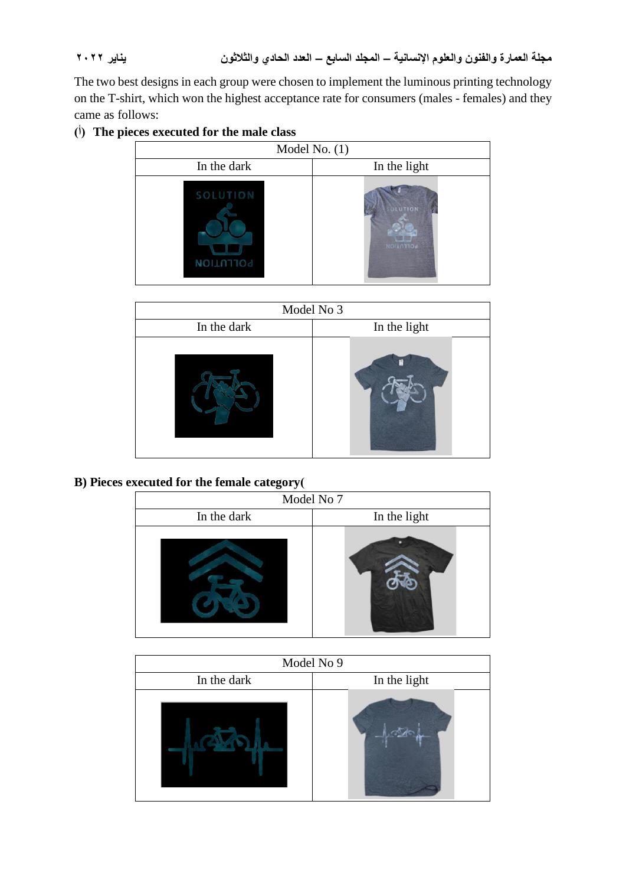The two best designs in each group were chosen to implement the luminous printing technology on the T-shirt, which won the highest acceptance rate for consumers (males - females) and they came as follows:

## **(أ (The pieces executed for the male class**

| Model No. $(1)$       |                      |
|-----------------------|----------------------|
| In the dark           | In the light         |
| SOLUTION<br>POLLUTION | OLUTION<br>NOILNTION |

| Model No 3  |              |
|-------------|--------------|
| In the dark | In the light |
|             |              |

**B) Pieces executed for the female category)**

| Model No 7  |              |
|-------------|--------------|
| In the dark | In the light |
|             |              |

| Model No 9  |              |
|-------------|--------------|
| In the dark | In the light |
|             |              |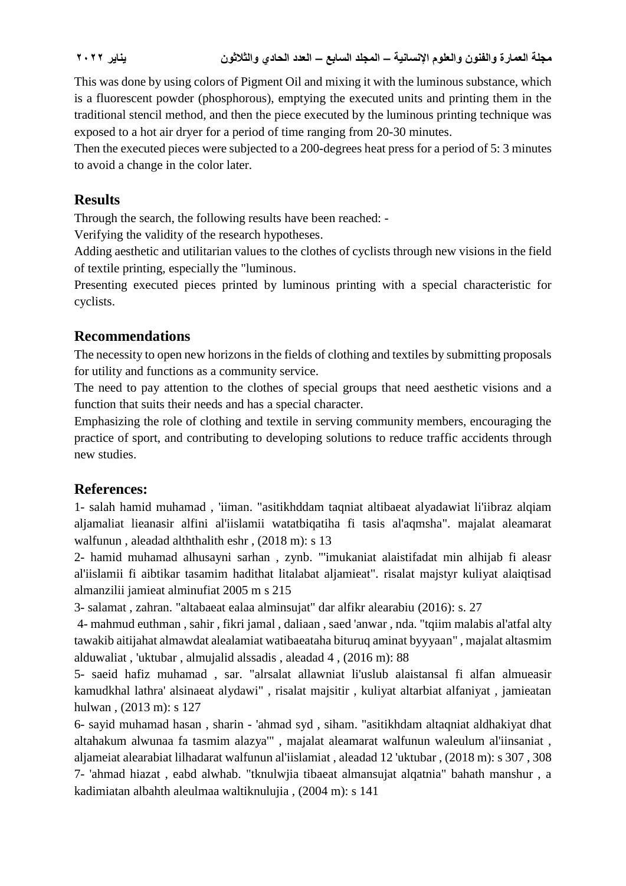This was done by using colors of Pigment Oil and mixing it with the luminous substance, which is a fluorescent powder (phosphorous), emptying the executed units and printing them in the traditional stencil method, and then the piece executed by the luminous printing technique was exposed to a hot air dryer for a period of time ranging from 20-30 minutes.

Then the executed pieces were subjected to a 200-degrees heat press for a period of 5: 3 minutes to avoid a change in the color later.

## **Results**

Through the search, the following results have been reached: -

Verifying the validity of the research hypotheses.

Adding aesthetic and utilitarian values to the clothes of cyclists through new visions in the field of textile printing, especially the "luminous.

Presenting executed pieces printed by luminous printing with a special characteristic for cyclists.

## **Recommendations**

The necessity to open new horizons in the fields of clothing and textiles by submitting proposals for utility and functions as a community service.

The need to pay attention to the clothes of special groups that need aesthetic visions and a function that suits their needs and has a special character.

Emphasizing the role of clothing and textile in serving community members, encouraging the practice of sport, and contributing to developing solutions to reduce traffic accidents through new studies.

## **References:**

1- salah hamid muhamad , 'iiman. "asitikhddam taqniat altibaeat alyadawiat li'iibraz alqiam aljamaliat lieanasir alfini al'iislamii watatbiqatiha fi tasis al'aqmsha". majalat aleamarat walfunun , aleadad alththalith eshr , (2018 m): s 13

2- hamid muhamad alhusayni sarhan , zynb. "'imukaniat alaistifadat min alhijab fi aleasr al'iislamii fi aibtikar tasamim hadithat litalabat aljamieat". risalat majstyr kuliyat alaiqtisad almanzilii jamieat alminufiat 2005 m s 215

3- salamat , zahran. "altabaeat ealaa alminsujat" dar alfikr alearabiu (2016): s. 27

4- mahmud euthman , sahir , fikri jamal , daliaan , saed 'anwar , nda. "tqiim malabis al'atfal alty tawakib aitijahat almawdat alealamiat watibaeataha bituruq aminat byyyaan" , majalat altasmim alduwaliat , 'uktubar , almujalid alssadis , aleadad 4 , (2016 m): 88

5- saeid hafiz muhamad , sar. "alrsalat allawniat li'uslub alaistansal fi alfan almueasir kamudkhal lathra' alsinaeat alydawi" , risalat majsitir , kuliyat altarbiat alfaniyat , jamieatan hulwan , (2013 m): s 127

6- sayid muhamad hasan , sharin - 'ahmad syd , siham. "asitikhdam altaqniat aldhakiyat dhat altahakum alwunaa fa tasmim alazya'" , majalat aleamarat walfunun waleulum al'iinsaniat , aljameiat alearabiat lilhadarat walfunun al'iislamiat , aleadad 12 'uktubar , (2018 m): s 307 , 308 7- 'ahmad hiazat , eabd alwhab. "tknulwjia tibaeat almansujat alqatnia" bahath manshur , a kadimiatan albahth aleulmaa waltiknulujia , (2004 m): s 141